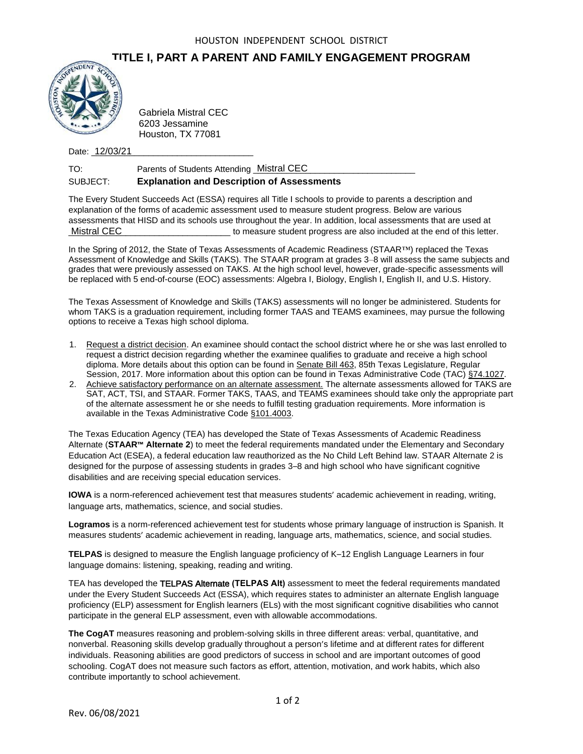## **TITLE I, PART A PARENT AND FAMILY ENGAGEMENT PROGRAM**



Gabriela Mistral CEC 6203 Jessamine Houston, TX 77081

Date: <u>12/03/21</u>

TO: Parents of Students Attending Mistral CEC **Commission Contains Property** SUBJECT: **Explanation and Description of Assessments**

The Every Student Succeeds Act (ESSA) requires all Title I schools to provide to parents a description and explanation of the forms of academic assessment used to measure student progress. Below are various assessments that HISD and its schools use throughout the year. In addition, local assessments that are used at to measure student progress are also included at the end of this letter. Mistral CEC

In the Spring of 2012, the State of Texas Assessments of Academic Readiness (STAAR™) replaced the Texas Assessment of Knowledge and Skills (TAKS). The STAAR program at grades 3–8 will assess the same subjects and grades that were previously assessed on TAKS. At the high school level, however, grade-specific assessments will be replaced with 5 end-of-course (EOC) assessments: Algebra I, Biology, English I, English II, and U.S. History.

The Texas Assessment of Knowledge and Skills (TAKS) assessments will no longer be administered. Students for whom TAKS is a graduation requirement, including former TAAS and TEAMS examinees, may pursue the following options to receive a Texas high school diploma.

- 1. Request a district decision. An examinee should contact the school district where he or she was last enrolled to request a district decision regarding whether the examinee qualifies to graduate and receive a high school diploma. More details about this option can be found in Senate Bill 463, 85th Texas Legislature, Regular Session, 2017. More information about this option can be found in Texas Administrative Code (TAC) §74.1027.
- 2. Achieve satisfactory performance on an alternate assessment. The alternate assessments allowed for TAKS are SAT, ACT, TSI, and STAAR. Former TAKS, TAAS, and TEAMS examinees should take only the appropriate part of the alternate assessment he or she needs to fulfill testing graduation requirements. More information is available in the Texas Administrative Code §101.4003.

The Texas Education Agency (TEA) has developed the State of Texas Assessments of Academic Readiness Alternate (**STAAR™ Alternate 2**) to meet the federal requirements mandated under the Elementary and Secondary Education Act (ESEA), a federal education law reauthorized as the No Child Left Behind law. STAAR Alternate 2 is designed for the purpose of assessing students in grades 3–8 and high school who have significant cognitive disabilities and are receiving special education services.

**IOWA** is a norm-referenced achievement test that measures students' academic achievement in reading, writing, language arts, mathematics, science, and social studies.

**Logramos** is a norm-referenced achievement test for students whose primary language of instruction is Spanish. It measures students' academic achievement in reading, language arts, mathematics, science, and social studies.

**TELPAS** is designed to measure the English language proficiency of K–12 English Language Learners in four language domains: listening, speaking, reading and writing.

TEA has developed the TELPAS Alternate **(TELPAS Alt)** assessment to meet the federal requirements mandated under the Every Student Succeeds Act (ESSA), which requires states to administer an alternate English language proficiency (ELP) assessment for English learners (ELs) with the most significant cognitive disabilities who cannot participate in the general ELP assessment, even with allowable accommodations.

**The CogAT** measures reasoning and problem-solving skills in three different areas: verbal, quantitative, and nonverbal. Reasoning skills develop gradually throughout a person's lifetime and at different rates for different individuals. Reasoning abilities are good predictors of success in school and are important outcomes of good schooling. CogAT does not measure such factors as effort, attention, motivation, and work habits, which also contribute importantly to school achievement.